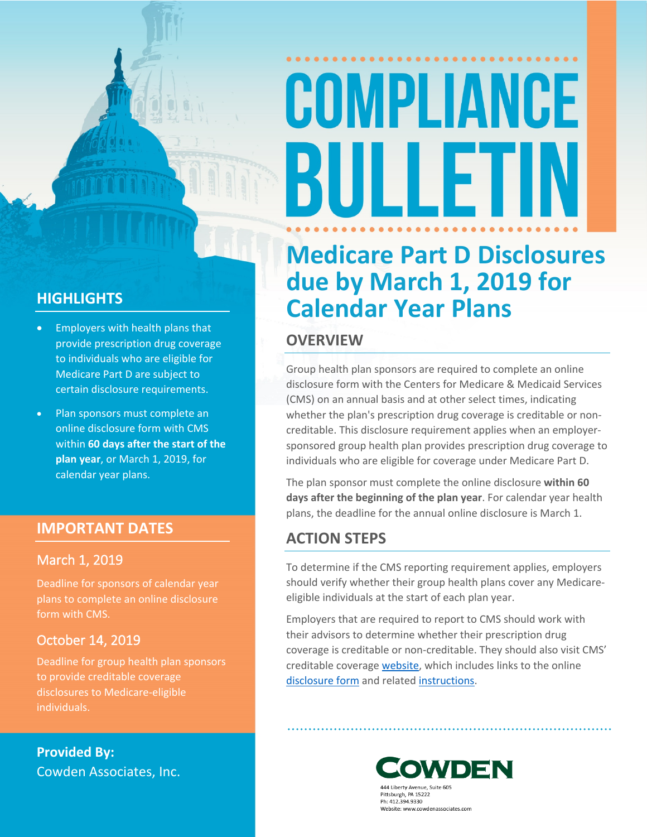# COMPLIANCE BULLET

### **HIGHLIGHTS**

- Employers with health plans that provide prescription drug coverage to individuals who are eligible for Medicare Part D are subject to certain disclosure requirements.
- Plan sponsors must complete an online disclosure form with CMS within **60 days after the start of the plan year**, or March 1, 2019, for calendar year plans.

### **IMPORTANT DATES**

### **March 1, 2019**

Deadline for sponsors of calendar year plans to complete an online disclosure form with CMS.

### **October 14, 2019**

Deadline for group health plan sponsors to provide creditable coverage disclosures to Medicare-eligible individuals.

**Provided By:** Cowden Associates, Inc.

### **Medicare Part D Disclosures due by March 1, 2019 for Calendar Year Plans**

### **OVERVIEW**

Group health plan sponsors are required to complete an online disclosure form with the Centers for Medicare & Medicaid Services (CMS) on an annual basis and at other select times, indicating whether the plan's prescription drug coverage is creditable or noncreditable. This disclosure requirement applies when an employersponsored group health plan provides prescription drug coverage to individuals who are eligible for coverage under Medicare Part D.

The plan sponsor must complete the online disclosure **within 60 days after the beginning of the plan year**. For calendar year health plans, the deadline for the annual online disclosure is March 1.

### **ACTION STEPS**

To determine if the CMS reporting requirement applies, employers should verify whether their group health plans cover any Medicareeligible individuals at the start of each plan year.

Employers that are required to report to CMS should work with their advisors to determine whether their prescription drug coverage is creditable or non-creditable. They should also visit CMS' creditable coverage [website,](https://www.cms.gov/Medicare/Prescription-Drug-Coverage/CreditableCoverage/index.html?redirect=/CreditableCoverage) which includes links to the online [disclosure form](https://www.cms.gov/Medicare/Prescription-Drug-Coverage/CreditableCoverage/CCDisclosureForm.html) and related [instructions](https://www.cms.gov/Medicare/Prescription-Drug-Coverage/CreditableCoverage/CCDisclosure.html).



444 Liberty Avenue, Suite 605 Pittsburgh, PA 15222 Ph: 412.394.9330 Website: www.cowdenassociates.com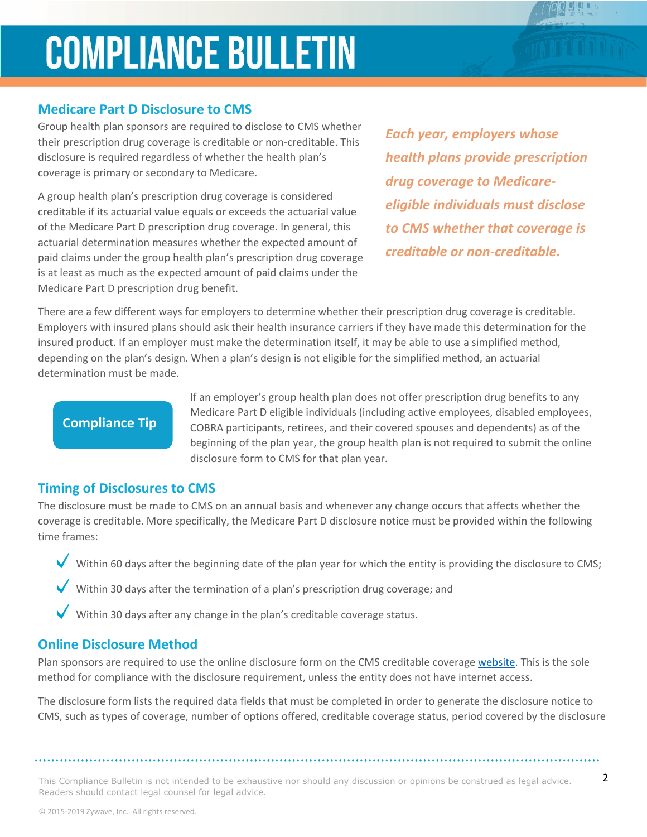## **COMPLIANCE BULLETIN**

### **Medicare Part D Disclosure to CMS**

Group health plan sponsors are required to disclose to CMS whether their prescription drug coverage is creditable or non-creditable. This disclosure is required regardless of whether the health plan's coverage is primary or secondary to Medicare.

A group health plan's prescription drug coverage is considered creditable if its actuarial value equals or exceeds the actuarial value of the Medicare Part D prescription drug coverage. In general, this actuarial determination measures whether the expected amount of paid claims under the group health plan's prescription drug coverage is at least as much as the expected amount of paid claims under the Medicare Part D prescription drug benefit.

*Each year, employers whose health plans provide prescription drug coverage to Medicareeligible individuals must disclose to CMS whether that coverage is creditable or non-creditable.* 

There are a few different ways for employers to determine whether their prescription drug coverage is creditable. Employers with insured plans should ask their health insurance carriers if they have made this determination for the insured product. If an employer must make the determination itself, it may be able to use a simplified method, depending on the plan's design. When a plan's design is not eligible for the simplified method, an actuarial determination must be made.

### **Compliance Tip**

If an employer's group health plan does not offer prescription drug benefits to any Medicare Part D eligible individuals (including active employees, disabled employees, COBRA participants, retirees, and their covered spouses and dependents) as of the beginning of the plan year, the group health plan is not required to submit the online disclosure form to CMS for that plan year.

#### **Timing of Disclosures to CMS**

The disclosure must be made to CMS on an annual basis and whenever any change occurs that affects whether the coverage is creditable. More specifically, the Medicare Part D disclosure notice must be provided within the following time frames:

Within 60 days after the beginning date of the plan year for which the entity is providing the disclosure to CMS;

- Within 30 days after the termination of a plan's prescription drug coverage; and
- Within 30 days after any change in the plan's creditable coverage status.

#### **Online Disclosure Method**

Plan sponsors are required to use the online disclosure form on the CMS creditable coverage [website.](https://www.cms.gov/Medicare/Prescription-Drug-Coverage/CreditableCoverage/index.html?redirect=/CreditableCoverage) This is the sole method for compliance with the disclosure requirement, unless the entity does not have internet access.

The disclosure form lists the required data fields that must be completed in order to generate the disclosure notice to CMS, such as types of coverage, number of options offered, creditable coverage status, period covered by the disclosure

This Compliance Bulletin is not intended to be exhaustive nor should any discussion or opinions be construed as legal advice.  $2$ Readers should contact legal counsel for legal advice.